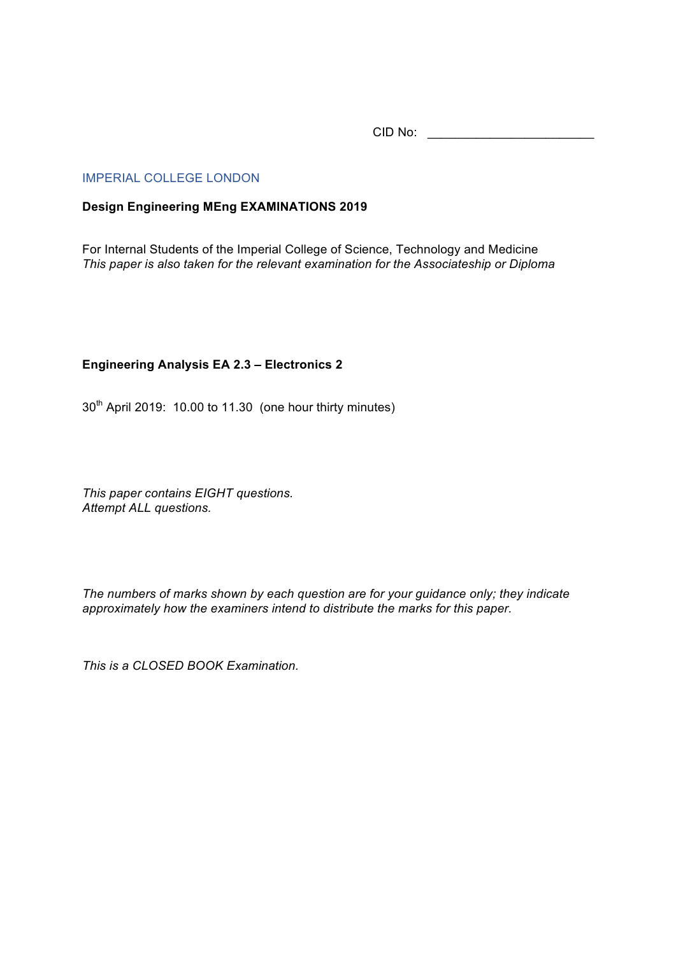CID No: \_\_\_\_\_\_\_\_\_\_\_\_\_\_\_\_\_\_\_\_\_\_\_\_

## IMPERIAL COLLEGE LONDON

## **Design Engineering MEng EXAMINATIONS 2019**

For Internal Students of the Imperial College of Science, Technology and Medicine *This paper is also taken for the relevant examination for the Associateship or Diploma*

## **Engineering Analysis EA 2.3 – Electronics 2**

30<sup>th</sup> April 2019: 10.00 to 11.30 (one hour thirty minutes)

*This paper contains EIGHT questions. Attempt ALL questions.* 

*The numbers of marks shown by each question are for your guidance only; they indicate approximately how the examiners intend to distribute the marks for this paper.*

*This is a CLOSED BOOK Examination.*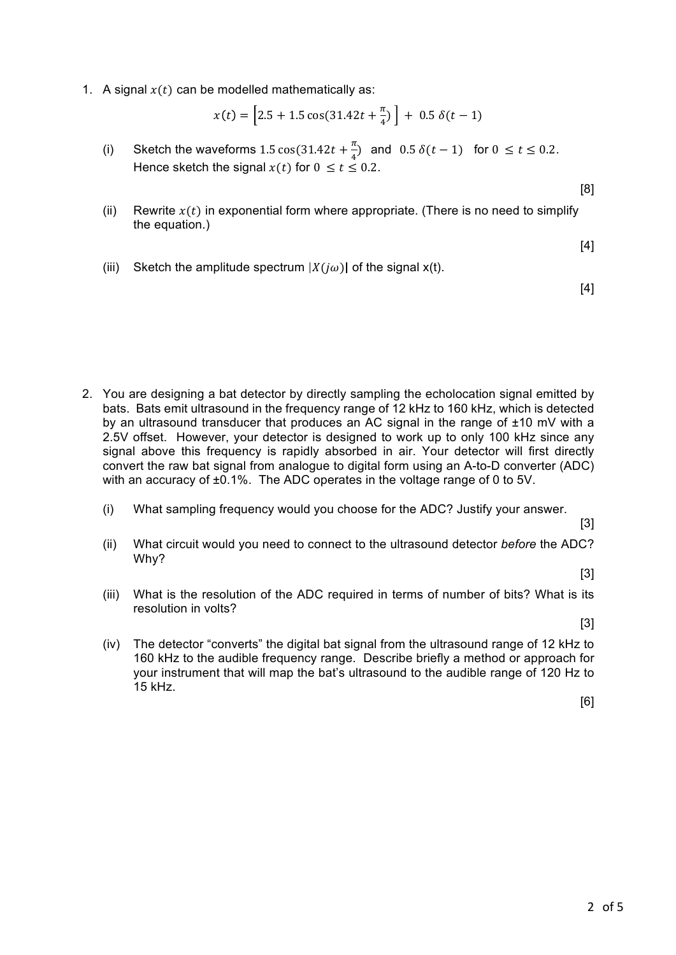1. A signal  $x(t)$  can be modelled mathematically as:

$$
x(t) = \left[2.5 + 1.5\cos(31.42t + \frac{\pi}{4})\right] + 0.5\,\delta(t - 1)
$$

- (i) Sketch the waveforms 1.5  $\cos(31.42t + \frac{\pi}{4})$  and 0.5  $\delta(t-1)$  for  $0 \le t \le 0.2$ . Hence sketch the signal  $x(t)$  for  $0 \le t \le 0.2$ .
- (ii) Rewrite  $x(t)$  in exponential form where appropriate. (There is no need to simplify the equation.)

[4]

[8]

(iii) Sketch the amplitude spectrum  $|X(i\omega)|$  of the signal  $x(t)$ .

[4]

- 2. You are designing a bat detector by directly sampling the echolocation signal emitted by bats. Bats emit ultrasound in the frequency range of 12 kHz to 160 kHz, which is detected by an ultrasound transducer that produces an AC signal in the range of  $\pm 10$  mV with a 2.5V offset. However, your detector is designed to work up to only 100 kHz since any signal above this frequency is rapidly absorbed in air. Your detector will first directly convert the raw bat signal from analogue to digital form using an A-to-D converter (ADC) with an accuracy of ±0.1%. The ADC operates in the voltage range of 0 to 5V.
	- (i) What sampling frequency would you choose for the ADC? Justify your answer.
	- (ii) What circuit would you need to connect to the ultrasound detector *before* the ADC? Why?

[3]

[3]

(iii) What is the resolution of the ADC required in terms of number of bits? What is its resolution in volts?

[3]

(iv) The detector "converts" the digital bat signal from the ultrasound range of 12 kHz to 160 kHz to the audible frequency range. Describe briefly a method or approach for your instrument that will map the bat's ultrasound to the audible range of 120 Hz to 15 kHz.

[6]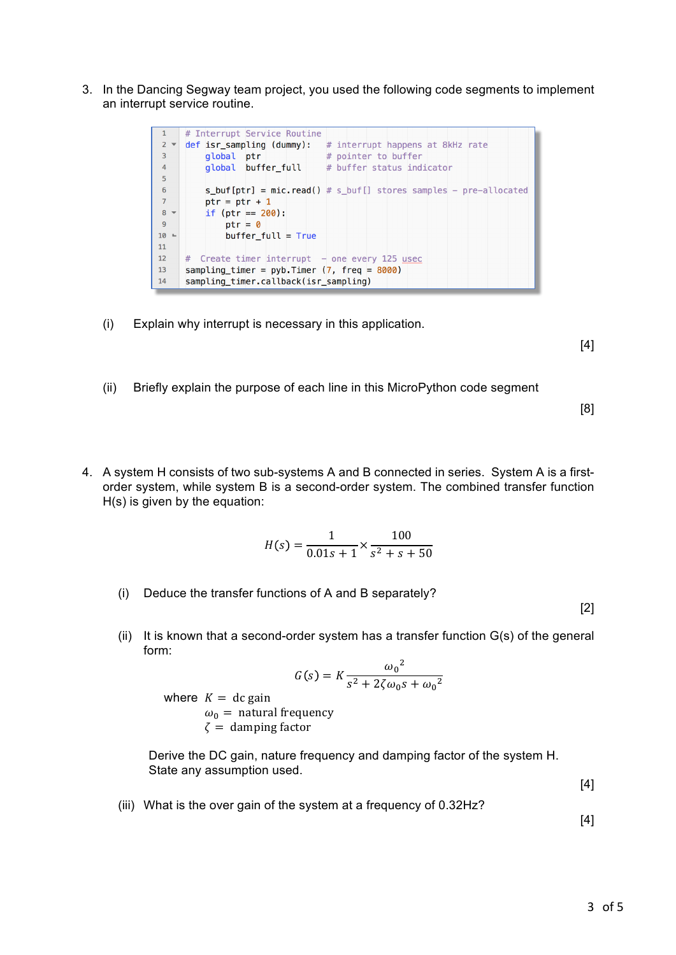3. In the Dancing Segway team project, you used the following code segments to implement an interrupt service routine.



(i) Explain why interrupt is necessary in this application.

[4]

(ii) Briefly explain the purpose of each line in this MicroPython code segment

[8]

4. A system H consists of two sub-systems A and B connected in series. System A is a firstorder system, while system B is a second-order system. The combined transfer function H(s) is given by the equation:

$$
H(s) = \frac{1}{0.01s + 1} \times \frac{100}{s^2 + s + 50}
$$

(i) Deduce the transfer functions of A and B separately?

[2]

(ii) It is known that a second-order system has a transfer function  $G(s)$  of the general form:  $\overline{a}$ 

$$
G(s) = K \frac{{\omega_0}^2}{s^2 + 2\zeta \omega_0 s + {\omega_0}^2}
$$

where  $K = dc$  gain  $\omega_0$  = natural frequency  $\zeta$  = damping factor

Derive the DC gain, nature frequency and damping factor of the system H. State any assumption used.

[4]

(iii) What is the over gain of the system at a frequency of 0.32Hz?

[4]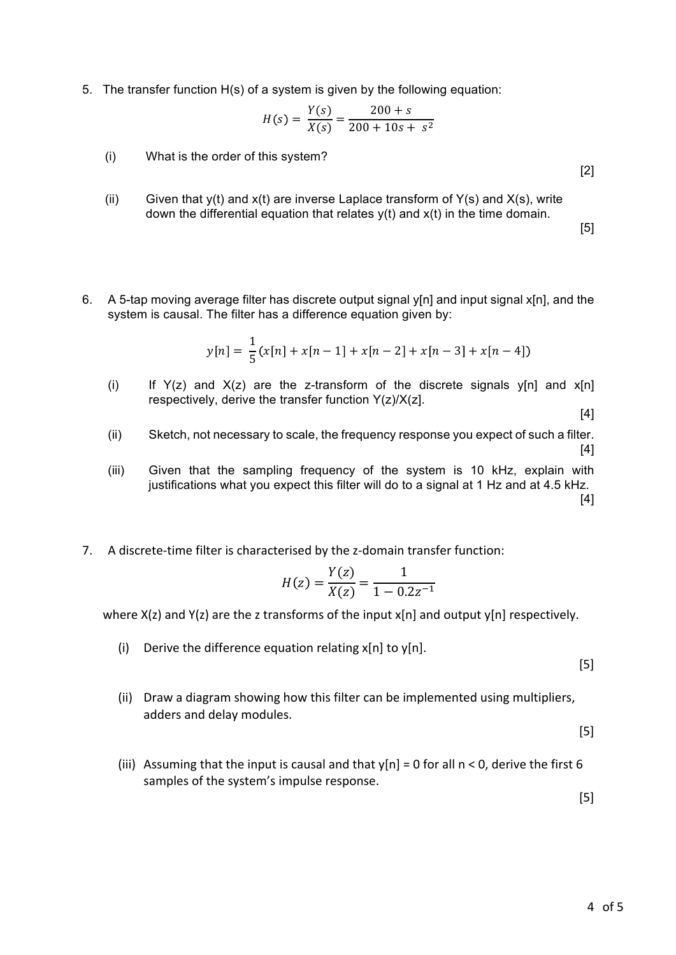5. The transfer function H(s) of a system is given by the following equation:

$$
H(s) = \frac{Y(s)}{X(s)} = \frac{200 + s}{200 + 10s + s^2}
$$

- (i) What is the order of this system?
- (ii) Given that  $y(t)$  and  $x(t)$  are inverse Laplace transform of  $Y(s)$  and  $X(s)$ , write down the differential equation that relates  $y(t)$  and  $x(t)$  in the time domain.

[5]

[2]

6. A 5-tap moving average filter has discrete output signal y[n] and input signal x[n], and the system is causal. The filter has a difference equation given by:

$$
y[n] = \frac{1}{5}(x[n] + x[n-1] + x[n-2] + x[n-3] + x[n-4])
$$

(i) If  $Y(z)$  and  $X(z)$  are the z-transform of the discrete signals  $Y[n]$  and  $X[n]$ respectively, derive the transfer function  $Y(z)/X(z)$ .

[4]

- (ii) Sketch, not necessary to scale, the frequency response you expect of such a filter. [4]
- (iii) Given that the sampling frequency of the system is 10 kHz, explain with justifications what you expect this filter will do to a signal at 1 Hz and at 4.5 kHz. [4]
- 7. A discrete-time filter is characterised by the z-domain transfer function:

$$
H(z) = \frac{Y(z)}{X(z)} = \frac{1}{1 - 0.2z^{-1}}
$$

where  $X(z)$  and  $Y(z)$  are the z transforms of the input  $x[n]$  and output  $y[n]$  respectively.

(i) Derive the difference equation relating  $x[n]$  to  $y[n]$ .

[5]

(ii) Draw a diagram showing how this filter can be implemented using multipliers, adders and delay modules.

[5]

(iii) Assuming that the input is causal and that  $y[n] = 0$  for all  $n < 0$ , derive the first 6 samples of the system's impulse response.

[5]